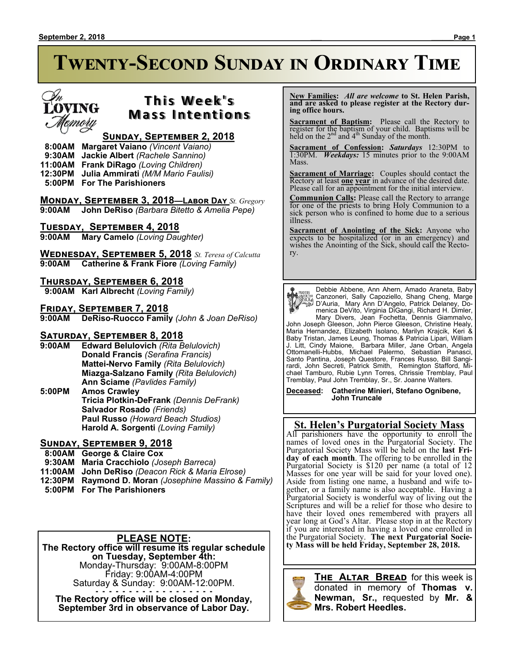# **Twenty-Second Sunday in Ordinary Time**



# **This Week's Mass Intentions**

#### **Sunday, September 2, 2018**

 **8:00AM Margaret Vaiano** *(Vincent Vaiano)*

 **9:30AM Jackie Albert** *(Rachele Sannino)*

- **11:00AM Frank DiRago** *(Loving Children)*
- **12:30PM Julia Ammirati** *(M/M Mario Faulisi)*  **5:00PM For The Parishioners**
- 

**Monday, September 3, 2018—Labor Day** *St. Gregory* **9:00AM John DeRiso** *(Barbara Bitetto & Amelia Pepe)*

**Tuesday, September 4, 2018**

**9:00AM Mary Camelo** *(Loving Daughter)*

**Wednesday, September 5, 2018** *St. Teresa of Calcutta* **9:00AM Catherine & Frank Fiore** *(Loving Family)*

**Thursday, September 6, 2018**

 **9:00AM Karl Albrecht** *(Loving Family)*

**Friday, September 7, 2018**

**9:00AM DeRiso-Ruocco Family** *(John & Joan DeRiso)*

# **SATURDAY, SEPTEMBER 8, 2018**<br>9:00AM Edward Belulovich (Rita B

**Edward Belulovich** *(Rita Belulovich)* **Donald Francis** *(Serafina Francis)* **Mattei-Nervo Family** *(Rita Belulovich)* **Miazga-Salzano Family** *(Rita Belulovich)* **Ann Sciame** *(Pavlides Family)*

**5:00PM Amos Crawley Tricia Plotkin-DeFrank** *(Dennis DeFrank)* **Salvador Rosado** *(Friends)* **Paul Russo** *(Howard Beach Studios)* **Harold A. Sorgenti** *(Loving Family)*

### **Sunday, September 9, 2018**

- **8:00AM George & Claire Cox**
- **9:30AM Maria Cracchiolo** *(Joseph Barreca)*
- **11:00AM John DeRiso** *(Deacon Rick & Maria Elrose)*
- **12:30PM Raymond D. Moran** *(Josephine Massino & Family)*
- **5:00PM For The Parishioners**

#### **PLEASE NOTE:**

**The Rectory office will resume its regular schedule on Tuesday, September 4th:** Monday-Thursday: 9:00AM-8:00PM Friday: 9:00AM-4:00PM Saturday & Sunday: 9:00AM-12:00PM.

. . . . . . . . . . . . . . . . . . **The Rectory office will be closed on Monday, September 3rd in observance of Labor Day.**

 **New Families:** *All are welcome* **to St. Helen Parish, and are asked to please register at the Rectory during office hours.**

**Sacrament of Baptism:** Please call the Rectory to register for the baptism of your child. Baptisms will be held on the  $2<sup>nd</sup>$  and  $4<sup>th</sup>$  Sunday of the month.

**Sacrament of Confession:** *Saturdays* 12:30PM to 1:30PM. *Weekdays:* 15 minutes prior to the 9:00AM Mass.

**Sacrament of Marriage:**Couples should contact the Rectory at least **one year** in advance of the desired date. Please call for an appointment for the initial interview.

**Communion Calls:** Please call the Rectory to arrange for one of the priests to bring Holy Communion to a sick person who is confined to home due to a serious illness.

**Sacrament of Anointing of the Sick:** Anyone who expects to be hospitalized (or in an emergency) and wishes the Anointing of the Sick, should call the Rectory.

Debbie Abbene, Ann Ahern, Amado Araneta, Baby Canzoneri, Sally Capoziello, Shang Cheng, Marge D'Auria, Mary Ann D'Angelo, Patrick Delaney, Domenica DeVito, Virginia DiGangi, Richard H. Dimler, Mary Divers, Jean Fochetta, Dennis Giammalvo,

John Joseph Gleeson, John Pierce Gleeson, Christine Healy, Maria Hernandez, Elizabeth Isolano, Marilyn Krajcik, Keri & Baby Tristan, James Leung, Thomas & Patricia Lipari, William J. Litt, Cindy Maione, Barbara Miller, Jane Orban, Angela Ottomanelli-Hubbs, Michael Palermo, Sebastian Panasci, Santo Pantina, Joseph Questore, Frances Russo, Bill Sangirardi, John Secreti, Patrick Smith, Remington Stafford, Michael Tamburo, Rubie Lynn Torres, Chrissie Tremblay, Paul Tremblay, Paul John Tremblay, Sr., Sr. Joanne Walters.

**Deceased: Catherine Minieri, Stefano Ognibene, John Truncale**

#### **St. Helen's Purgatorial Society Mass**

All parishioners have the opportunity to enroll the names of loved ones in the Purgatorial Society. The Purgatorial Society Mass will be held on the **last Friday of each month**. The offering to be enrolled in the Purgatorial Society is \$120 per name (a total of 12 Masses for one year will be said for your loved one). Aside from listing one name, a husband and wife together, or a family name is also acceptable. Having a Purgatorial Society is wonderful way of living out the Scriptures and will be a relief for those who desire to have their loved ones remembered with prayers all year long at God's Altar. Please stop in at the Rectory if you are interested in having a loved one enrolled in the Purgatorial Society. **The next Purgatorial Society Mass will be held Friday, September 28, 2018.**

#### **The Altar Bread** for this week is



donated in memory of **Thomas v. Newman, Sr.,** requested by **Mr. & Mrs. Robert Heedles.**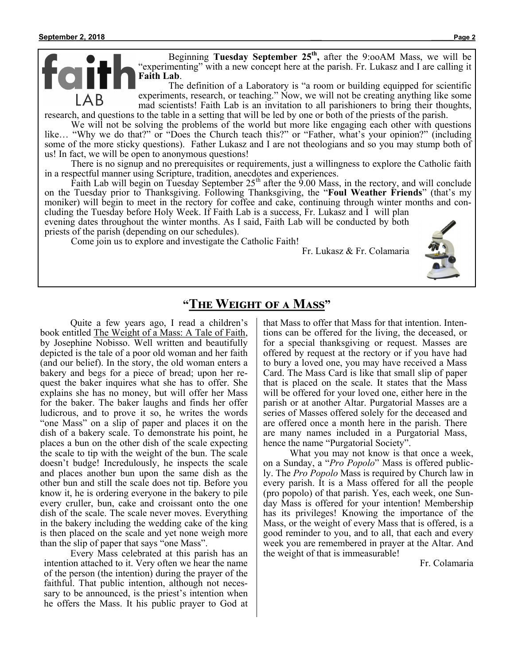Beginning **Tuesday September 25th ,** after the 9:ooAM Mass, we will be "experimenting" with a new concept here at the parish. Fr. Lukasz and I are calling it **Faith Lab**.

The definition of a Laboratory is "a room or building equipped for scientific experiments, research, or teaching." Now, we will not be creating anything like some mad scientists! Faith Lab is an invitation to all parishioners to bring their thoughts, research, and questions to the table in a setting that will be led by one or both of the priests of the parish.

We will not be solving the problems of the world but more like engaging each other with questions like… "Why we do that?" or "Does the Church teach this?" or "Father, what's your opinion?" (including some of the more sticky questions). Father Lukasz and I are not theologians and so you may stump both of us! In fact, we will be open to anonymous questions!

There is no signup and no prerequisites or requirements, just a willingness to explore the Catholic faith in a respectful manner using Scripture, tradition, anecdotes and experiences.

Faith Lab will begin on Tuesday September  $25<sup>th</sup>$  after the 9.00 Mass, in the rectory, and will conclude on the Tuesday prior to Thanksgiving. Following Thanksgiving, the "**Foul Weather Friends**" (that's my moniker) will begin to meet in the rectory for coffee and cake, continuing through winter months and concluding the Tuesday before Holy Week. If Faith Lab is a success, Fr. Lukasz and I will plan

evening dates throughout the winter months. As I said, Faith Lab will be conducted by both priests of the parish (depending on our schedules).

Come join us to explore and investigate the Catholic Faith!

Fr. Lukasz & Fr. Colamaria



# **"The Weight of a Mass"**

Quite a few years ago, I read a children's book entitled The Weight of a Mass: A Tale of Faith, by Josephine Nobisso. Well written and beautifully depicted is the tale of a poor old woman and her faith (and our belief). In the story, the old woman enters a bakery and begs for a piece of bread; upon her request the baker inquires what she has to offer. She explains she has no money, but will offer her Mass for the baker. The baker laughs and finds her offer ludicrous, and to prove it so, he writes the words "one Mass" on a slip of paper and places it on the dish of a bakery scale. To demonstrate his point, he places a bun on the other dish of the scale expecting the scale to tip with the weight of the bun. The scale doesn't budge! Incredulously, he inspects the scale and places another bun upon the same dish as the other bun and still the scale does not tip. Before you know it, he is ordering everyone in the bakery to pile every cruller, bun, cake and croissant onto the one dish of the scale. The scale never moves. Everything in the bakery including the wedding cake of the king is then placed on the scale and yet none weigh more than the slip of paper that says "one Mass".

Every Mass celebrated at this parish has an intention attached to it. Very often we hear the name of the person (the intention) during the prayer of the faithful. That public intention, although not necessary to be announced, is the priest's intention when he offers the Mass. It his public prayer to God at that Mass to offer that Mass for that intention. Intentions can be offered for the living, the deceased, or for a special thanksgiving or request. Masses are offered by request at the rectory or if you have had to bury a loved one, you may have received a Mass Card. The Mass Card is like that small slip of paper that is placed on the scale. It states that the Mass will be offered for your loved one, either here in the parish or at another Altar. Purgatorial Masses are a series of Masses offered solely for the deceased and are offered once a month here in the parish. There are many names included in a Purgatorial Mass, hence the name "Purgatorial Society".

What you may not know is that once a week, on a Sunday, a "*Pro Popolo*" Mass is offered publicly. The *Pro Popolo* Mass is required by Church law in every parish. It is a Mass offered for all the people (pro popolo) of that parish. Yes, each week, one Sunday Mass is offered for your intention! Membership has its privileges! Knowing the importance of the Mass, or the weight of every Mass that is offered, is a good reminder to you, and to all, that each and every week you are remembered in prayer at the Altar. And the weight of that is immeasurable!

Fr. Colamaria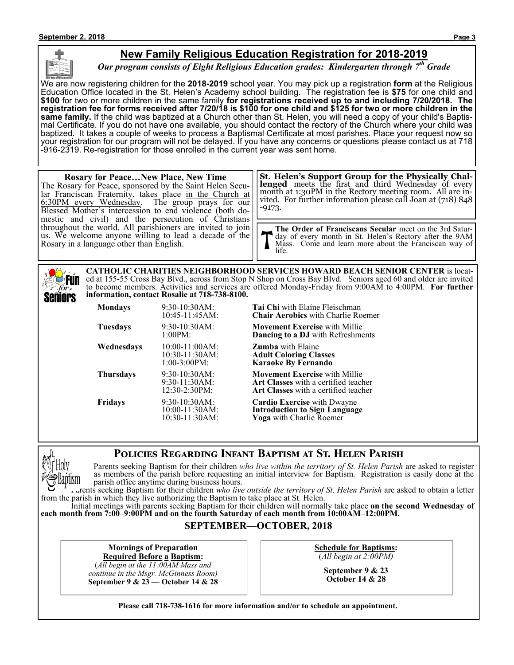### **New Family Religious Education Registration for 2018-2019**

*Our program consists of Eight Religious Education grades: Kindergarten through 7th Grade*

We are now registering children for the **2018-2019** school year. You may pick up a registration **form** at the Religious Education Office located in the St. Helen's Academy school building. The registration fee is **\$75** for one child and **\$100** for two or more children in the same family **for registrations received up to and including 7/20/2018. The registration fee for forms received after 7/20/18 is \$100 for one child and \$125 for two or more children in the same family.** If the child was baptized at a Church other than St. Helen, you will need a copy of your child's Baptismal Certificate. If you do not have one available, you should contact the rectory of the Church where your child was baptized. It takes a couple of weeks to process a Baptismal Certificate at most parishes. Place your request now so your registration for our program will not be delayed. If you have any concerns or questions please contact us at 718 -916-2319. Re-registration for those enrolled in the current year was sent home.

#### **Rosary for Peace…New Place, New Time** The Rosary for Peace, sponsored by the Saint Helen Secular Franciscan Fraternity, takes place in the Church at 6:30PM every Wednesday. The group prays for our Blessed Mother's intercession to end violence (both domestic and civil) and the persecution of Christians throughout the world. All parishioners are invited to join us. We welcome anyone willing to lead a decade of the Rosary in a language other than English. **The Order of Franciscans Secular** meet on the 3rd Saturday of every month in St. Helen's Rectory after the 9AM Mass. Come and learn more about the Franciscan way of life. **St. Helen's Support Group for the Physically Challenged** meets the first and third Wednesday of every month at 1:30PM in the Rectory meeting room. All are invited. For further information please call Joan at (718) 848 -9173.

**CATHOLIC CHARITIES NEIGHBORHOOD SERVICES HOWARD BEACH SENIOR CENTER** is located at 155-55 Cross Bay Blvd., across from Stop N Shop on Cross Bay Blvd. Seniors aged 60 and older are invited **Fun** to become members. Activities and services are offered Monday-Friday from 9:00AM to 4:00PM. **For further information, contact Rosalie at 718-738-8100.** Seniors

| Mondays    | 9:30-10:30AM:<br>10:45-11:45AM:                           | <b>Tai Chi</b> with Elaine Fleischman<br><b>Chair Aerobics</b> with Charlie Roemer                                          |
|------------|-----------------------------------------------------------|-----------------------------------------------------------------------------------------------------------------------------|
| Tuesdays   | $9:30-10:30AM$ :<br>1:00PM:                               | <b>Movement Exercise</b> with Millie<br><b>Dancing to a DJ</b> with Refreshments                                            |
| Wednesdays | $10:00-11:00AM$ :<br>$10:30-11:30AM$ :<br>$1:00-3:00PM$ : | <b>Zumba</b> with Elaine<br><b>Adult Coloring Classes</b><br><b>Karaoke By Fernando</b>                                     |
| Thursdays  | 9:30-10:30AM:<br>$9:30-11:30AM$ :<br>12:30-2:30PM:        | <b>Movement Exercise</b> with Millie<br><b>Art Classes</b> with a certified teacher<br>Art Classes with a certified teacher |
| Fridays    | 9:30-10:30AM:<br>10:00-11:30AM:<br>$10:30-11:30AM$ :      | <b>Cardio Exercise</b> with Dwayne<br><b>Introduction to Sign Language</b><br>Yoga with Charlie Roemer                      |

### **Policies Regarding Infant Baptism at St. Helen Parish**



for.

Parents seeking Baptism for their children *who live within the territory of St. Helen Parish* are asked to register as members of the parish before requesting an initial interview for Baptism. Registration is easily done at the parish office anytime during business hours.

Parents seeking Baptism for their children *who live outside the territory of St. Helen Parish* are asked to obtain a letter from the parish in which they live authorizing the Baptism to take place at St. Helen.

Initial meetings with parents seeking Baptism for their children will normally take place **on the second Wednesday of each month from 7:00–9:00PM and on the fourth Saturday of each month from 10:00AM–12:00PM.**

#### **SEPTEMBER—OCTOBER, 2018**

**Mornings of Preparation Required Before a Baptism:**

(*All begin at the 11:00AM Mass and continue in the Msgr. McGinness Room)* **September 9 & 23 — October 14 & 28** **Schedule for Baptisms:** (*All begin at 2:00PM)*

> **September 9 & 23 October 14 & 28**

**Please call 718-738-1616 for more information and/or to schedule an appointment.**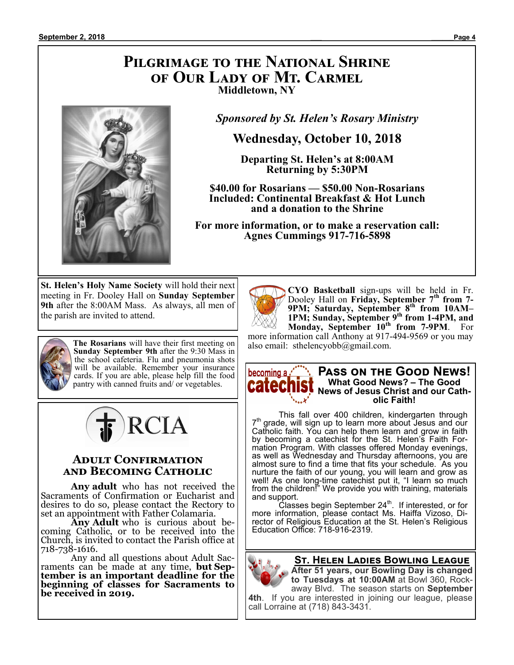# **Pilgrimage to the National Shrine of Our Lady of Mt. Carmel Middletown, NY**



*Sponsored by St. Helen's Rosary Ministry*

# **Wednesday, October 10, 2018**

**Departing St. Helen's at 8:00AM Returning by 5:30PM**

**\$40.00 for Rosarians — \$50.00 Non-Rosarians Included: Continental Breakfast & Hot Lunch and a donation to the Shrine**

**For more information, or to make a reservation call: Agnes Cummings 917-716-5898**

**St. Helen's Holy Name Society** will hold their next meeting in Fr. Dooley Hall on **Sunday September 9th** after the 8:00AM Mass. As always, all men of the parish are invited to attend.



**The Rosarians** will have their first meeting on **Sunday September 9th** after the 9:30 Mass in the school cafeteria. Flu and pneumonia shots will be available. Remember your insurance cards. If you are able, please help fill the food pantry with canned fruits and/ or vegetables.



#### **Adult Confirmation and Becoming Catholic**

**Any adult** who has not received the Sacraments of Confirmation or Eucharist and desires to do so, please contact the Rectory to set an appointment with Father Colamaria.

**Any Adult** who is curious about becoming Catholic, or to be received into the Church, is invited to contact the Parish office at 718-738-1616.

Any and all questions about Adult Sacraments can be made at any time, **but September is an important deadline for the beginning of classes for Sacraments to be received in 2019.** 



**CYO Basketball** sign-ups will be held in Fr. Dooley Hall on **Friday, September 7th from 7- 9PM; Saturday, September 8th from 10AM– 1PM; Sunday, September 9th from 1-4PM, and Monday, September 10th from 7-9PM**. For

more information call Anthony at 917-494-9569 or you may also email: sthelencyobb@gmail.com.



This fall over 400 children, kindergarten through 7 th grade, will sign up to learn more about Jesus and our Catholic faith. You can help them learn and grow in faith by becoming a catechist for the St. Helen's Faith Formation Program. With classes offered Monday evenings, as well as Wednesday and Thursday afternoons, you are almost sure to find a time that fits your schedule. As you nurture the faith of our young, you will learn and grow as well! As one long-time catechist put it, "I learn so much from the children!" We provide you with training, materials and support.

Classes begin September 24<sup>th</sup>. If interested, or for more information, please contact Ms. Haiffa Vizoso, Director of Religious Education at the St. Helen's Religious Education Office: 718-916-2319.

**St. Helen Ladies Bowling League**

**After 51 years, our Bowling Day is changed to Tuesdays at 10:00AM** at Bowl 360, Rockaway Blvd. The season starts on **September 4th**. If you are interested in joining our league, please

call Lorraine at (718) 843-3431.